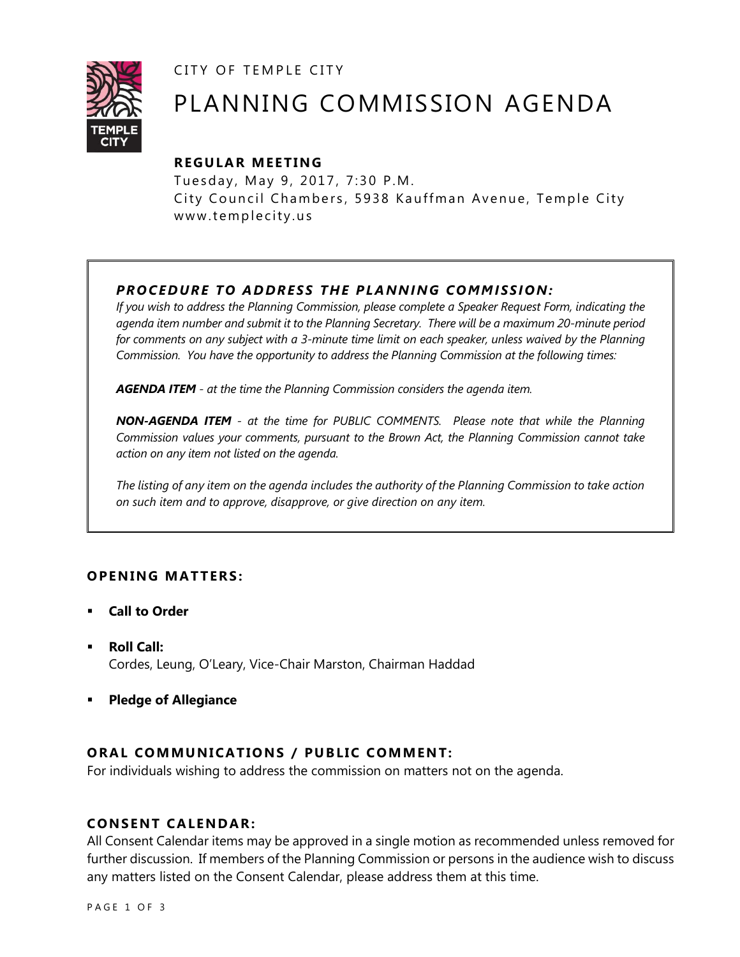CITY OF TEMPLE CITY



# PLANNING COMMISSION AGENDA

# **R EGULA R MEE TING**

Tuesday, May 9, 2017, 7:30 P.M. City Council Chambers, 5938 Kauffman Avenue, Temple City www.templecity.us

## *PRO CE DURE TO ADDRE SS THE P LA NNI NG COMM I SSION:*

*If you wish to address the Planning Commission, please complete a Speaker Request Form, indicating the agenda item number and submit it to the Planning Secretary. There will be a maximum 20-minute period*  for comments on any subject with a 3-minute time limit on each speaker, unless waived by the Planning *Commission. You have the opportunity to address the Planning Commission at the following times:*

*AGENDA ITEM - at the time the Planning Commission considers the agenda item.*

*NON-AGENDA ITEM - at the time for PUBLIC COMMENTS. Please note that while the Planning Commission values your comments, pursuant to the Brown Act, the Planning Commission cannot take action on any item not listed on the agenda.*

*The listing of any item on the agenda includes the authority of the Planning Commission to take action on such item and to approve, disapprove, or give direction on any item.*

## **OPENING MATTERS:**

- **Call to Order**
- **Roll Call:** Cordes, Leung, O'Leary, Vice-Chair Marston, Chairman Haddad
- **Pledge of Allegiance**

## **ORAL COMMUNICATIONS / PUBLIC COMMENT:**

For individuals wishing to address the commission on matters not on the agenda.

#### **CONSENT CA LENDAR:**

All Consent Calendar items may be approved in a single motion as recommended unless removed for further discussion. If members of the Planning Commission or persons in the audience wish to discuss any matters listed on the Consent Calendar, please address them at this time.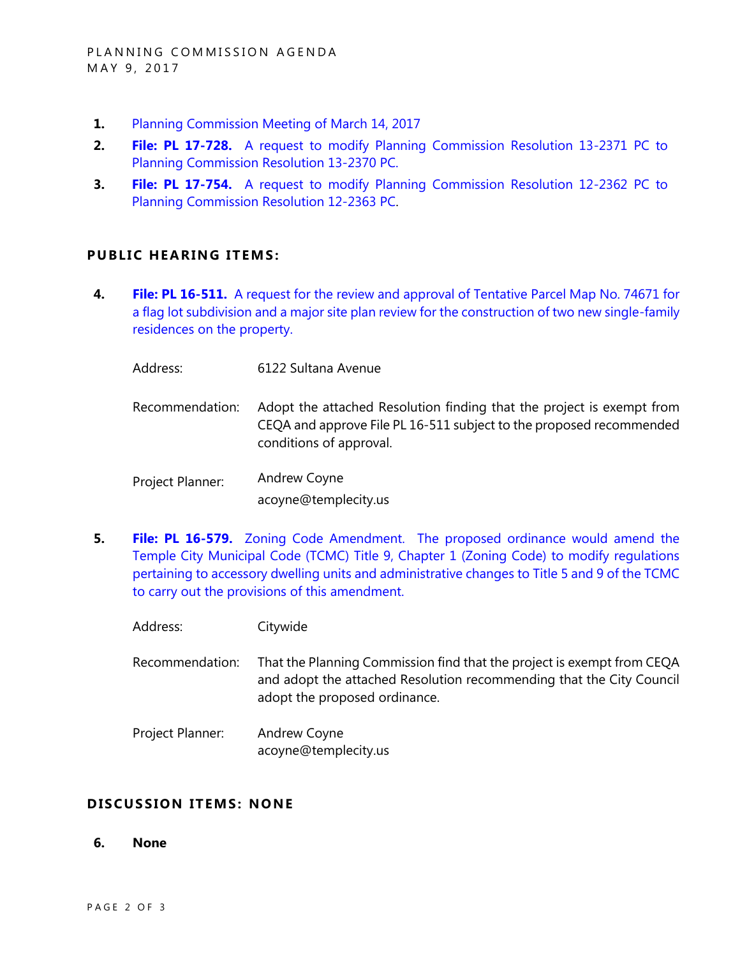- **1.** [Planning Commission Meeting of March 14, 2017](https://ca-templecity.civicplus.com/DocumentCenter/View/8452)
- **2. File: PL 17-728.** [A request to modify Planning Commission Resolution 13-2371 PC to](https://ca-templecity.civicplus.com/DocumentCenter/View/8453)  [Planning Commission Resolution 13-2370 PC.](https://ca-templecity.civicplus.com/DocumentCenter/View/8453)
- **3. File: PL 17-754.** [A request to modify Planning Commission Resolution 12-2362 PC to](https://ca-templecity.civicplus.com/DocumentCenter/View/8454)  [Planning Commission Resolution 12-2363 PC.](https://ca-templecity.civicplus.com/DocumentCenter/View/8454)

#### **PUBLIC HEARING ITEMS:**

**4. File: PL 16-511.** [A request for the review and approval of Tentative Parcel Map No. 74671 for](https://ca-templecity.civicplus.com/DocumentCenter/View/8455)  [a flag lot subdivision and a major site plan review for the construction of two new single-family](https://ca-templecity.civicplus.com/DocumentCenter/View/8455)  [residences on the property.](https://ca-templecity.civicplus.com/DocumentCenter/View/8455)

Address: 6122 Sultana Avenue

- Recommendation: Adopt the attached Resolution finding that the project is exempt from CEQA and approve File PL 16-511 subject to the proposed recommended conditions of approval.
- Project Planner: Andrew Coyne acoyne@templecity.us
- **5. File: PL 16-579.** [Zoning Code Amendment. The proposed ordinance would amend the](https://ca-templecity.civicplus.com/DocumentCenter/View/8456)  [Temple City Municipal Code \(TCMC\) Title 9, Chapter 1 \(Zoning Code\) to modify regulations](https://ca-templecity.civicplus.com/DocumentCenter/View/8456)  [pertaining to accessory dwelling units and administrative changes to Title 5 and 9 of the TCMC](https://ca-templecity.civicplus.com/DocumentCenter/View/8456)  [to carry out the provisions of this amendment.](https://ca-templecity.civicplus.com/DocumentCenter/View/8456)

Address: Citywide

Recommendation: That the Planning Commission find that the project is exempt from CEQA and adopt the attached Resolution recommending that the City Council adopt the proposed ordinance.

Project Planner: Andrew Coyne acoyne@templecity.us

#### **D ISCUSSION ITEMS: NONE**

**6. None**